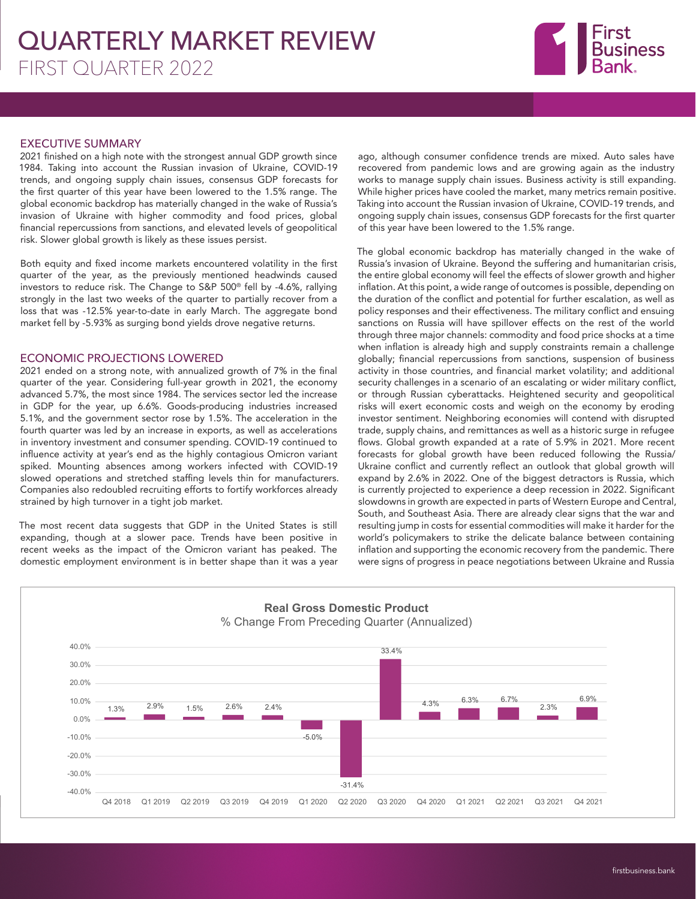# QUARTERLY MARKET REVIEW FIRST QUARTER 2022



### EXECUTIVE SUMMARY

2021 finished on a high note with the strongest annual GDP growth since 1984. Taking into account the Russian invasion of Ukraine, COVID-19 trends, and ongoing supply chain issues, consensus GDP forecasts for the first quarter of this year have been lowered to the 1.5% range. The global economic backdrop has materially changed in the wake of Russia's invasion of Ukraine with higher commodity and food prices, global financial repercussions from sanctions, and elevated levels of geopolitical risk. Slower global growth is likely as these issues persist.

Both equity and fixed income markets encountered volatility in the first quarter of the year, as the previously mentioned headwinds caused investors to reduce risk. The Change to S&P 500®️ fell by -4.6%, rallying strongly in the last two weeks of the quarter to partially recover from a loss that was -12.5% year-to-date in early March. The aggregate bond market fell by -5.93% as surging bond yields drove negative returns.

### ECONOMIC PROJECTIONS LOWERED

2021 ended on a strong note, with annualized growth of 7% in the final quarter of the year. Considering full-year growth in 2021, the economy advanced 5.7%, the most since 1984. The services sector led the increase in GDP for the year, up 6.6%. Goods-producing industries increased 5.1%, and the government sector rose by 1.5%. The acceleration in the fourth quarter was led by an increase in exports, as well as accelerations in inventory investment and consumer spending. COVID-19 continued to influence activity at year's end as the highly contagious Omicron variant spiked. Mounting absences among workers infected with COVID-19 slowed operations and stretched staffing levels thin for manufacturers. Companies also redoubled recruiting efforts to fortify workforces already strained by high turnover in a tight job market.

The most recent data suggests that GDP in the United States is still expanding, though at a slower pace. Trends have been positive in recent weeks as the impact of the Omicron variant has peaked. The domestic employment environment is in better shape than it was a year ago, although consumer confidence trends are mixed. Auto sales have recovered from pandemic lows and are growing again as the industry works to manage supply chain issues. Business activity is still expanding. While higher prices have cooled the market, many metrics remain positive. Taking into account the Russian invasion of Ukraine, COVID-19 trends, and ongoing supply chain issues, consensus GDP forecasts for the first quarter of this year have been lowered to the 1.5% range.

The global economic backdrop has materially changed in the wake of Russia's invasion of Ukraine. Beyond the suffering and humanitarian crisis, the entire global economy will feel the effects of slower growth and higher inflation. At this point, a wide range of outcomes is possible, depending on the duration of the conflict and potential for further escalation, as well as policy responses and their effectiveness. The military conflict and ensuing sanctions on Russia will have spillover effects on the rest of the world through three major channels: commodity and food price shocks at a time when inflation is already high and supply constraints remain a challenge globally; financial repercussions from sanctions, suspension of business activity in those countries, and financial market volatility; and additional security challenges in a scenario of an escalating or wider military conflict, or through Russian cyberattacks. Heightened security and geopolitical risks will exert economic costs and weigh on the economy by eroding investor sentiment. Neighboring economies will contend with disrupted trade, supply chains, and remittances as well as a historic surge in refugee flows. Global growth expanded at a rate of 5.9% in 2021. More recent forecasts for global growth have been reduced following the Russia/ Ukraine conflict and currently reflect an outlook that global growth will expand by 2.6% in 2022. One of the biggest detractors is Russia, which is currently projected to experience a deep recession in 2022. Significant slowdowns in growth are expected in parts of Western Europe and Central, South, and Southeast Asia. There are already clear signs that the war and resulting jump in costs for essential commodities will make it harder for the world's policymakers to strike the delicate balance between containing inflation and supporting the economic recovery from the pandemic. There were signs of progress in peace negotiations between Ukraine and Russia

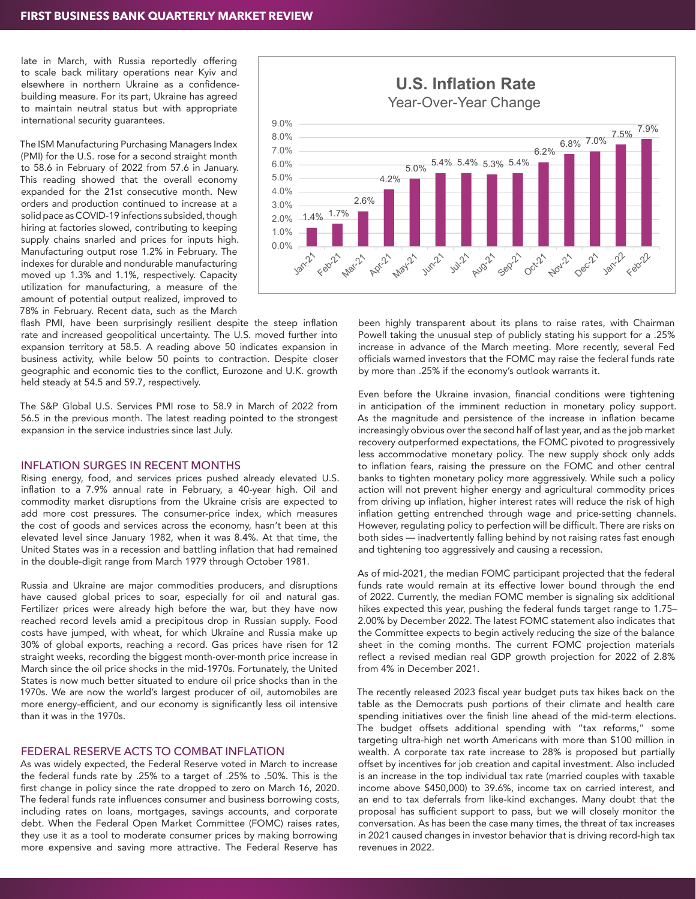late in March, with Russia reportedly offering to scale back military operations near Kyiv and elsewhere in northern Ukraine as a confidencebuilding measure. For its part, Ukraine has agreed to maintain neutral status but with appropriate international security guarantees.

The ISM Manufacturing Purchasing Managers Index (PMI) for the U.S. rose for a second straight month to 58.6 in February of 2022 from 57.6 in January. This reading showed that the overall economy expanded for the 21st consecutive month. New orders and production continued to increase at a solid pace as COVID-19 infections subsided, though hiring at factories slowed, contributing to keeping supply chains snarled and prices for inputs high. Manufacturing output rose 1.2% in February. The indexes for durable and nondurable manufacturing moved up 1.3% and 1.1%, respectively. Capacity utilization for manufacturing, a measure of the amount of potential output realized, improved to 78% in February. Recent data, such as the March



flash PMI, have been surprisingly resilient despite the steep inflation rate and increased geopolitical uncertainty. The U.S. moved further into expansion territory at 58.5. A reading above 50 indicates expansion in business activity, while below 50 points to contraction. Despite closer geographic and economic ties to the conflict, Eurozone and U.K. growth held steady at 54.5 and 59.7, respectively.

The S&P Global U.S. Services PMI rose to 58.9 in March of 2022 from 56.5 in the previous month. The latest reading pointed to the strongest expansion in the service industries since last July.

#### INFLATION SURGES IN RECENT MONTHS

Rising energy, food, and services prices pushed already elevated U.S. inflation to a 7.9% annual rate in February, a 40-year high. Oil and commodity market disruptions from the Ukraine crisis are expected to add more cost pressures. The consumer-price index, which measures the cost of goods and services across the economy, hasn't been at this elevated level since January 1982, when it was 8.4%. At that time, the United States was in a recession and battling inflation that had remained in the double-digit range from March 1979 through October 1981.

Russia and Ukraine are major commodities producers, and disruptions have caused global prices to soar, especially for oil and natural gas. Fertilizer prices were already high before the war, but they have now reached record levels amid a precipitous drop in Russian supply. Food costs have jumped, with wheat, for which Ukraine and Russia make up 30% of global exports, reaching a record. Gas prices have risen for 12 straight weeks, recording the biggest month-over-month price increase in March since the oil price shocks in the mid-1970s. Fortunately, the United States is now much better situated to endure oil price shocks than in the 1970s. We are now the world's largest producer of oil, automobiles are more energy-efficient, and our economy is significantly less oil intensive than it was in the 1970s.

#### FEDERAL RESERVE ACTS TO COMBAT INFLATION

As was widely expected, the Federal Reserve voted in March to increase the federal funds rate by .25% to a target of .25% to .50%. This is the first change in policy since the rate dropped to zero on March 16, 2020. The federal funds rate influences consumer and business borrowing costs, including rates on loans, mortgages, savings accounts, and corporate debt. When the Federal Open Market Committee (FOMC) raises rates, they use it as a tool to moderate consumer prices by making borrowing more expensive and saving more attractive. The Federal Reserve has

been highly transparent about its plans to raise rates, with Chairman Powell taking the unusual step of publicly stating his support for a .25% increase in advance of the March meeting. More recently, several Fed officials warned investors that the FOMC may raise the federal funds rate by more than .25% if the economy's outlook warrants it.

Even before the Ukraine invasion, financial conditions were tightening in anticipation of the imminent reduction in monetary policy support. As the magnitude and persistence of the increase in inflation became increasingly obvious over the second half of last year, and as the job market recovery outperformed expectations, the FOMC pivoted to progressively less accommodative monetary policy. The new supply shock only adds to inflation fears, raising the pressure on the FOMC and other central banks to tighten monetary policy more aggressively. While such a policy action will not prevent higher energy and agricultural commodity prices from driving up inflation, higher interest rates will reduce the risk of high inflation getting entrenched through wage and price-setting channels. However, regulating policy to perfection will be difficult. There are risks on both sides — inadvertently falling behind by not raising rates fast enough and tightening too aggressively and causing a recession.

As of mid-2021, the median FOMC participant projected that the federal funds rate would remain at its effective lower bound through the end of 2022. Currently, the median FOMC member is signaling six additional hikes expected this year, pushing the federal funds target range to 1.75– 2.00% by December 2022. The latest FOMC statement also indicates that the Committee expects to begin actively reducing the size of the balance sheet in the coming months. The current FOMC projection materials reflect a revised median real GDP growth projection for 2022 of 2.8% from 4% in December 2021.

The recently released 2023 fiscal year budget puts tax hikes back on the table as the Democrats push portions of their climate and health care spending initiatives over the finish line ahead of the mid-term elections. The budget offsets additional spending with "tax reforms," some targeting ultra-high net worth Americans with more than \$100 million in wealth. A corporate tax rate increase to 28% is proposed but partially offset by incentives for job creation and capital investment. Also included is an increase in the top individual tax rate (married couples with taxable income above \$450,000) to 39.6%, income tax on carried interest, and an end to tax deferrals from like-kind exchanges. Many doubt that the proposal has sufficient support to pass, but we will closely monitor the conversation. As has been the case many times, the threat of tax increases in 2021 caused changes in investor behavior that is driving record-high tax revenues in 2022.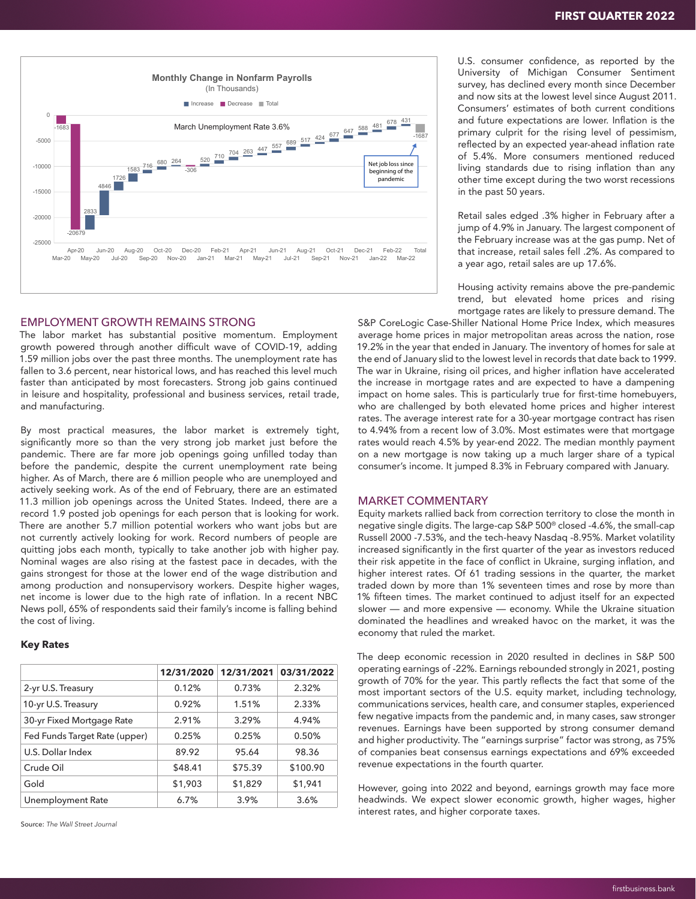

#### EMPLOYMENT GROWTH REMAINS STRONG

The labor market has substantial positive momentum. Employment growth powered through another difficult wave of COVID-19, adding 1.59 million jobs over the past three months. The unemployment rate has fallen to 3.6 percent, near historical lows, and has reached this level much faster than anticipated by most forecasters. Strong job gains continued in leisure and hospitality, professional and business services, retail trade, and manufacturing.

By most practical measures, the labor market is extremely tight, significantly more so than the very strong job market just before the pandemic. There are far more job openings going unfilled today than before the pandemic, despite the current unemployment rate being higher. As of March, there are 6 million people who are unemployed and actively seeking work. As of the end of February, there are an estimated 11.3 million job openings across the United States. Indeed, there are a record 1.9 posted job openings for each person that is looking for work. There are another 5.7 million potential workers who want jobs but are not currently actively looking for work. Record numbers of people are quitting jobs each month, typically to take another job with higher pay. Nominal wages are also rising at the fastest pace in decades, with the gains strongest for those at the lower end of the wage distribution and among production and nonsupervisory workers. Despite higher wages, net income is lower due to the high rate of inflation. In a recent NBC News poll, 65% of respondents said their family's income is falling behind the cost of living.

#### **Key Rates**

|                               | 12/31/2020 | 12/31/2021 | 03/31/2022 |
|-------------------------------|------------|------------|------------|
| 2-yr U.S. Treasury            | 0.12%      | 0.73%      | 2.32%      |
| 10-yr U.S. Treasury           | 0.92%      | 1.51%      | 2.33%      |
| 30-yr Fixed Mortgage Rate     | 2.91%      | 3.29%      | 4.94%      |
| Fed Funds Target Rate (upper) | 0.25%      | 0.25%      | 0.50%      |
| U.S. Dollar Index             | 89.92      | 95.64      | 98.36      |
| Crude Oil                     | \$48.41    | \$75.39    | \$100.90   |
| Gold                          | \$1,903    | \$1,829    | \$1,941    |
| Unemployment Rate             | 6.7%       | 3.9%       | 3.6%       |

Source: *The Wall Street Journal*

U.S. consumer confidence, as reported by the University of Michigan Consumer Sentiment survey, has declined every month since December and now sits at the lowest level since August 2011. Consumers' estimates of both current conditions and future expectations are lower. Inflation is the primary culprit for the rising level of pessimism, reflected by an expected year-ahead inflation rate of 5.4%. More consumers mentioned reduced living standards due to rising inflation than any other time except during the two worst recessions in the past 50 years.

Retail sales edged .3% higher in February after a jump of 4.9% in January. The largest component of the February increase was at the gas pump. Net of that increase, retail sales fell .2%. As compared to a year ago, retail sales are up 17.6%.

Housing activity remains above the pre-pandemic trend, but elevated home prices and rising mortgage rates are likely to pressure demand. The

S&P CoreLogic Case-Shiller National Home Price Index, which measures average home prices in major metropolitan areas across the nation, rose 19.2% in the year that ended in January. The inventory of homes for sale at the end of January slid to the lowest level in records that date back to 1999. The war in Ukraine, rising oil prices, and higher inflation have accelerated the increase in mortgage rates and are expected to have a dampening impact on home sales. This is particularly true for first-time homebuyers, who are challenged by both elevated home prices and higher interest rates. The average interest rate for a 30-year mortgage contract has risen to 4.94% from a recent low of 3.0%. Most estimates were that mortgage rates would reach 4.5% by year-end 2022. The median monthly payment on a new mortgage is now taking up a much larger share of a typical consumer's income. It jumped 8.3% in February compared with January.

## MARKET COMMENTARY

Equity markets rallied back from correction territory to close the month in negative single digits. The large-cap S&P 500® closed -4.6%, the small-cap Russell 2000 -7.53%, and the tech-heavy Nasdaq -8.95%. Market volatility increased significantly in the first quarter of the year as investors reduced their risk appetite in the face of conflict in Ukraine, surging inflation, and higher interest rates. Of 61 trading sessions in the quarter, the market traded down by more than 1% seventeen times and rose by more than 1% fifteen times. The market continued to adjust itself for an expected slower — and more expensive — economy. While the Ukraine situation dominated the headlines and wreaked havoc on the market, it was the economy that ruled the market.

The deep economic recession in 2020 resulted in declines in S&P 500 operating earnings of -22%. Earnings rebounded strongly in 2021, posting growth of 70% for the year. This partly reflects the fact that some of the most important sectors of the U.S. equity market, including technology, communications services, health care, and consumer staples, experienced few negative impacts from the pandemic and, in many cases, saw stronger revenues. Earnings have been supported by strong consumer demand and higher productivity. The "earnings surprise" factor was strong, as 75% of companies beat consensus earnings expectations and 69% exceeded revenue expectations in the fourth quarter.

However, going into 2022 and beyond, earnings growth may face more headwinds. We expect slower economic growth, higher wages, higher interest rates, and higher corporate taxes.